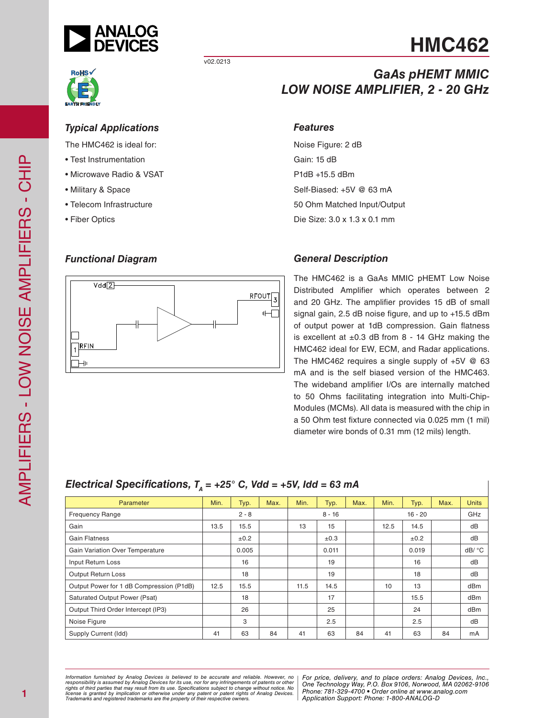

v02.0213

## *GaAs pHEMT MMIC LOW NOISE AMPLIFIER, 2 - 20 GHz*

*Typical Applications*

The HMC462 is ideal for:

- Test Instrumentation
- Microwave Radio & VSAT
- Military & Space
- Telecom Infrastructure
- Fiber Optics

## *Functional Diagram*



### *Features*

Noise Figure: 2 dB Gain: 15 dB P1dB +15.5 dBm Self-Biased: +5V @ 63 mA 50 Ohm Matched Input/Output Die Size: 3.0 x 1.3 x 0.1 mm

### *General Description*

The HMC462 is a GaAs MMIC pHEMT Low Noise Distributed Amplifier which operates between 2 and 20 GHz. The amplifier provides 15 dB of small signal gain, 2.5 dB noise figure, and up to +15.5 dBm of output power at 1dB compression. Gain flatness is excellent at  $\pm 0.3$  dB from 8 - 14 GHz making the HMC462 ideal for EW, ECM, and Radar applications. The HMC462 requires a single supply of +5V @ 63 mA and is the self biased version of the HMC463. The wideband amplifier I/Os are internally matched to 50 Ohms facilitating integration into Multi-Chip-Modules (MCMs). All data is measured with the chip in a 50 Ohm test fixture connected via 0.025 mm (1 mil) diameter wire bonds of 0.31 mm (12 mils) length.

## *Electrical Specifications,*  $T_A = +25^\circ$  *C, Vdd = +5V, Idd = 63 mA*

| Parameter                                | Min. | Typ.    | Max. | Min. | Typ.     | Max. | Min. | Typ.      | Max. | <b>Units</b> |
|------------------------------------------|------|---------|------|------|----------|------|------|-----------|------|--------------|
| <b>Frequency Range</b>                   |      | $2 - 8$ |      |      | $8 - 16$ |      |      | $16 - 20$ |      | GHz          |
| Gain                                     | 13.5 | 15.5    |      | 13   | 15       |      | 12.5 | 14.5      |      | dB           |
| <b>Gain Flatness</b>                     |      | ±0.2    |      |      | ±0.3     |      |      | ±0.2      |      | dB           |
| Gain Variation Over Temperature          |      | 0.005   |      |      | 0.011    |      |      | 0.019     |      | dB/ °C       |
| Input Return Loss                        |      | 16      |      |      | 19       |      |      | 16        |      | dB           |
| <b>Output Return Loss</b>                |      | 18      |      |      | 19       |      |      | 18        |      | dB           |
| Output Power for 1 dB Compression (P1dB) | 12.5 | 15.5    |      | 11.5 | 14.5     |      | 10   | 13        |      | dBm          |
| Saturated Output Power (Psat)            |      | 18      |      |      | 17       |      |      | 15.5      |      | dBm          |
| Output Third Order Intercept (IP3)       |      | 26      |      |      | 25       |      |      | 24        |      | dBm          |
| Noise Figure                             |      | 3       |      |      | 2.5      |      |      | 2.5       |      | dB           |
| Supply Current (Idd)                     | 41   | 63      | 84   | 41   | 63       | 84   | 41   | 63        | 84   | mA           |

*Formation iurnished by Analog Devices is believed to be accurate and reliable. However, no Hor price, delivery, and to place orders: Analog Devices, In<br>roonsibility is assumed by Analog Devices for its use, nor for any pressult from its use. Specifications subject to change without notice. No*<br>ation or otherwise under any patent or patent rights of Analog Devices Phone: 781-329-4700 • Order online at ww *e* the property of their respective owners. **Application Support: Phone: 1-8** *Information furnished by Analog Devices is believed to be accurate and reliable. However, no*  responsibility is assumed by Analog Devices for its use, nor for any infringements of patents or other<br>rights of third parties that may result from its use. Specifications subject to change without notice. No<br>license is gr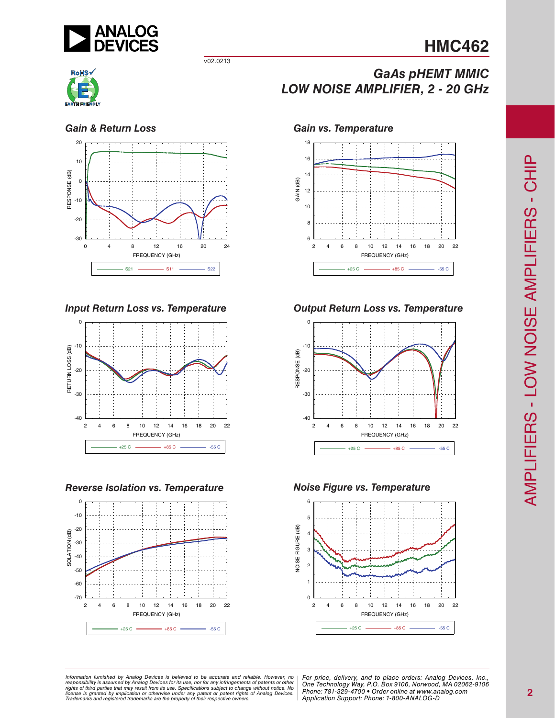

v02.0213





*Input Return Loss vs. Temperature*



### *Reverse Isolation vs. Temperature*



## *GaAs pHEMT MMIC LOW NOISE AMPLIFIER, 2 - 20 GHz*

### *Gain & Return Loss Gain vs. Temperature*



### *Output Return Loss vs. Temperature*



### *Noise Figure vs. Temperature*



*Formation iurnished by Analog Devices is believed to be accurate and reliable. However, no Hor price, delivery, and to place orders: Analog Devices, In<br>roonsibility is assumed by Analog Devices for its use, nor for any pressult from its use. Specifications subject to change without notice. No*<br>ation or otherwise under any patent or patent rights of Analog Devices Phone: 781-329-4700 • Order online at ww *e* the property of their respective owners. **Application Support: Phone: 1-8** Information furnished by Analog Devices is believed to be accurate and reliable. However, no<br>responsibility is assumed by Analog Devices for its use, nor for any infringements of patents or other<br>rights of third parties th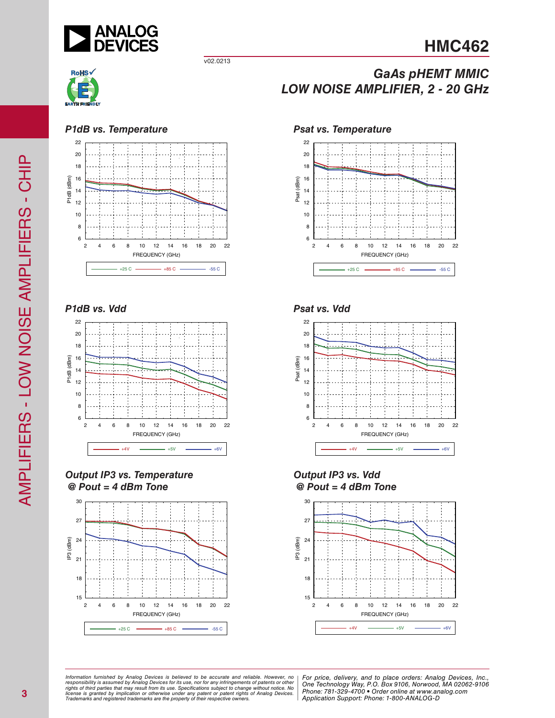

v02.0213



### *P1dB vs. Temperature Psat vs. Temperature*



### *P1dB vs. Vdd*



*Output IP3 vs. Temperature @ Pout = 4 dBm Tone*



## *GaAs pHEMT MMIC LOW NOISE AMPLIFIER, 2 - 20 GHz*



*Psat vs. Vdd*



*Output IP3 vs. Vdd @ Pout = 4 dBm Tone*



ormation furnished by Analog Devices is believed to be accurate and reliable. However, no | For price, delivery, and to place orders: Analog Devices, Inc.,<br>popsibility is assumed by Analog Devices for its use, not for any *pressult from its use. Specifications subject to change without notice. No*<br>ation or otherwise under any patent or patent rights of Analog Devices Phone: 781-329-4700 • Order online at ww *e* the property of their respective owners. **Application Support: Phone: 1-8** *Information furnished by Analog Devices is believed to be accurate and reliable. However, no*  responsibility is assumed by Analog Devices for its use, nor for any infringements of patents or other<br>rights of third parties that may result from its use. Specifications subject to change without notice. No<br>license is gr

*Phone: 781-329-4700 • Order online at www.analog.com Application Support: Phone: 1-800-ANALOG-D*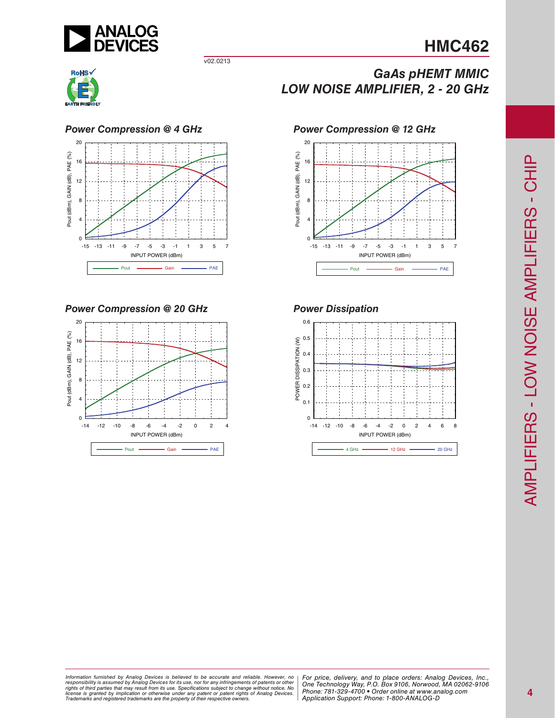

v02.0213





*Power Compression @ 20 GHz Power Dissipation*



*GaAs pHEMT MMIC LOW NOISE AMPLIFIER, 2 - 20 GHz*





*Formation iurnished by Analog Devices is believed to be accurate and reliable. However, no Hor price, delivery, and to place orders: Analog Devices, In<br>roonsibility is assumed by Analog Devices for its use, nor for any pressult from its use. Specifications subject to change without notice. No*<br>ation or otherwise under any patent or patent rights of Analog Devices Phone: 781-329-4700 • Order online at ww *e* the property of their respective owners. **Application Support: Phone: 1-8** Information furnished by Analog Devices is believed to be accurate and reliable. However, no<br>responsibility is assumed by Analog Devices for its use, nor for any infringements of patents or other<br>rights of third parties th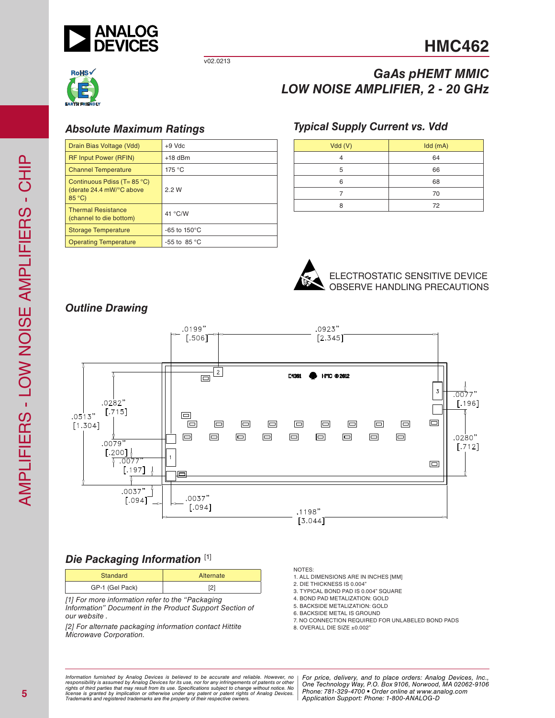

*GaAs pHEMT MMIC*

v02.0213



## *Absolute Maximum Ratings*

| Drain Bias Voltage (Vdd)                                                       | $+9$ Vdc               |
|--------------------------------------------------------------------------------|------------------------|
| <b>RF Input Power (RFIN)</b>                                                   | $+18$ dBm              |
| <b>Channel Temperature</b>                                                     | 175 °C                 |
| Continuous Pdiss ( $T = 85$ °C)<br>(derate 24.4 mW/°C above<br>$85^{\circ}$ C) | 2.2W                   |
| <b>Thermal Resistance</b><br>(channel to die bottom)                           | 41 °C/W                |
| <b>Storage Temperature</b>                                                     | -65 to $150^{\circ}$ C |
| <b>Operating Temperature</b>                                                   | -55 to 85 $\degree$ C  |

# *LOW NOISE AMPLIFIER, 2 - 20 GHz*

## *Typical Supply Current vs. Vdd*

| Vdd(V) | Idd (mA) |
|--------|----------|
|        | 64       |
| 5      | 66       |
| 6      | 68       |
|        | 70       |
|        | 72       |



### ELECTROSTATIC SENSITIVE DEVICE OBSERVE HANDLING PRECAUTIONS





## *Die Packaging Information* [1]

| <b>Standard</b> | Alternate |
|-----------------|-----------|
| GP-1 (Gel Pack) | ▵         |

*[1] For more information refer to the "Packaging Information" Document in the Product Support Section of our website .*

*[2] For alternate packaging information contact Hittite Microwave Corporation.*

NOTES:

- 1. ALL DIMENSIONS ARE IN INCHES [MM]
- 2. DIE THICKNESS IS 0.004"
- 3. TYPICAL BOND PAD IS 0.004" SQUARE
- 4. BOND PAD METALIZATION: GOLD
- 5. BACKSIDE METALIZATION: GOLD
- 6. BACKSIDE METAL IS GROUND
- 7. NO CONNECTION REQUIRED FOR UNLABELED BOND PADS
- 8. OVERALL DIE SIZE  $\pm 0.002$ "

ormation furnished by Analog Devices is believed to be accurate and reliable. However, no | For price, delivery, and to place orders: Analog Devices, Inc.,<br>popsibility is assumed by Analog Devices for its use, not for any *pressult from its use. Specifications subject to change without notice. No*<br>ation or otherwise under any patent or patent rights of Analog Devices Phone: 781-329-4700 • Order online at ww *e* the property of their respective owners. **Application Support: Phone: 1-8** *Information furnished by Analog Devices is believed to be accurate and reliable. However, no*  responsibility is assumed by Analog Devices for its use, nor for any infringements of patents or other<br>rights of third parties that may result from its use. Specifications subject to change without notice. No<br>license is gr

*Phone: 781-329-4700 • Order online at www.analog.com Application Support: Phone: 1-800-ANALOG-D*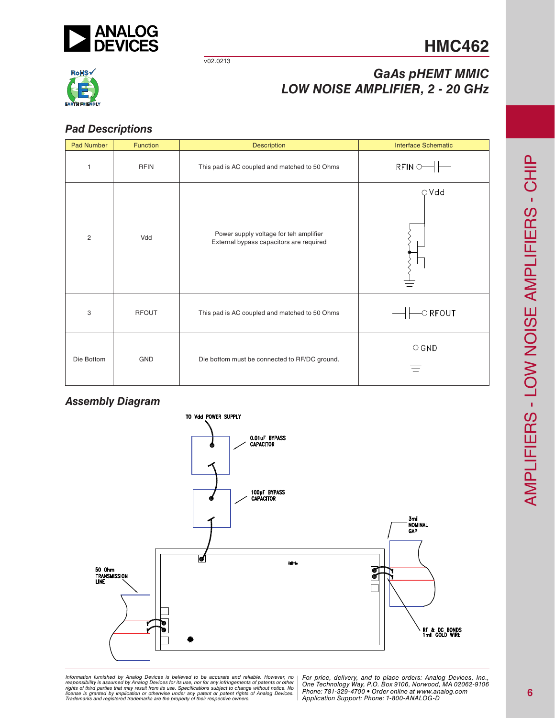

v02.0213



## *GaAs pHEMT MMIC LOW NOISE AMPLIFIER, 2 - 20 GHz*

## *Pad Descriptions*

| Pad Number     | Function     | <b>Description</b>                                                                | <b>Interface Schematic</b> |
|----------------|--------------|-----------------------------------------------------------------------------------|----------------------------|
| $\mathbf{1}$   | <b>RFIN</b>  | This pad is AC coupled and matched to 50 Ohms                                     | $RFIN$ $\cup$ $\vdash$     |
| $\overline{c}$ | Vdd          | Power supply voltage for teh amplifier<br>External bypass capacitors are required | $\bigcirc$ Vdd             |
| 3              | <b>RFOUT</b> | This pad is AC coupled and matched to 50 Ohms                                     | $\circ$ RFOUT              |
| Die Bottom     | GND          | Die bottom must be connected to RF/DC ground.                                     | $\bigcirc$ GND             |

## *Assembly Diagram*



*Formation iurnished by Analog Devices is believed to be accurate and reliable. However, no Hor price, delivery, and to place orders: Analog Devices, In<br>roonsibility is assumed by Analog Devices for its use, nor for any pressult from its use. Specifications subject to change without notice. No*<br>ation or otherwise under any patent or patent rights of Analog Devices Phone: 781-329-4700 • Order online at ww *e* the property of their respective owners. **Application Support: Phone: 1-8** Information furnished by Analog Devices is believed to be accurate and reliable. However, no<br>responsibility is assumed by Analog Devices for its use, nor for any infringements of patents or other<br>rights of third parties th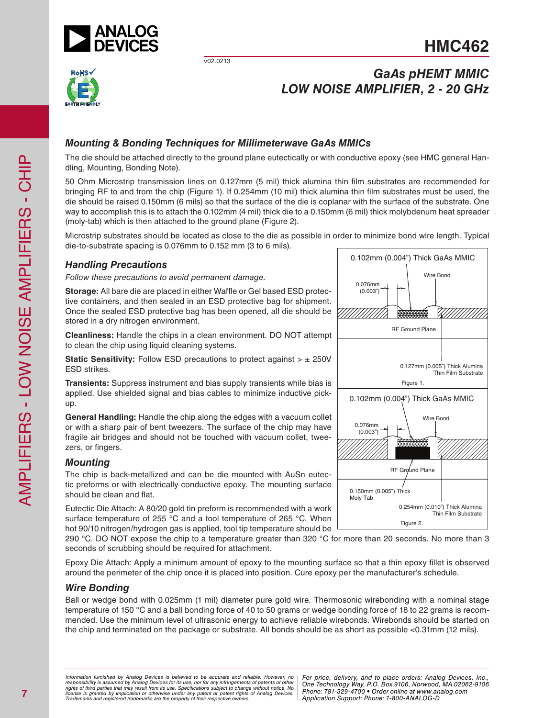

v02.0213

## **HMC462**



## *GaAs pHEMT MMIC LOW NOISE AMPLIFIER, 2 - 20 GHz*

## *Mounting & Bonding Techniques for Millimeterwave GaAs MMICs*

The die should be attached directly to the ground plane eutectically or with conductive epoxy (see HMC general Handling, Mounting, Bonding Note).

50 Ohm Microstrip transmission lines on 0.127mm (5 mil) thick alumina thin film substrates are recommended for bringing RF to and from the chip (Figure 1). If 0.254mm (10 mil) thick alumina thin film substrates must be used, the die should be raised 0.150mm (6 mils) so that the surface of the die is coplanar with the surface of the substrate. One way to accomplish this is to attach the 0.102mm (4 mil) thick die to a 0.150mm (6 mil) thick molybdenum heat spreader (moly-tab) which is then attached to the ground plane (Figure 2).

Microstrip substrates should be located as close to the die as possible in order to minimize bond wire length. Typical die-to-substrate spacing is 0.076mm to 0.152 mm (3 to 6 mils).

### *Handling Precautions*

*Follow these precautions to avoid permanent damage.*

**Storage:** All bare die are placed in either Waffle or Gel based ESD protective containers, and then sealed in an ESD protective bag for shipment. Once the sealed ESD protective bag has been opened, all die should be stored in a dry nitrogen environment.

**Cleanliness:** Handle the chips in a clean environment. DO NOT attempt to clean the chip using liquid cleaning systems.

**Static Sensitivity:** Follow ESD precautions to protect against >  $\pm$  250V ESD strikes.

**Transients:** Suppress instrument and bias supply transients while bias is applied. Use shielded signal and bias cables to minimize inductive pickup.

**General Handling:** Handle the chip along the edges with a vacuum collet or with a sharp pair of bent tweezers. The surface of the chip may have fragile air bridges and should not be touched with vacuum collet, tweezers, or fingers.

### *Mounting*

The chip is back-metallized and can be die mounted with AuSn eutectic preforms or with electrically conductive epoxy. The mounting surface should be clean and flat.

Eutectic Die Attach: A 80/20 gold tin preform is recommended with a work surface temperature of 255 °C and a tool temperature of 265 °C. When hot 90/10 nitrogen/hydrogen gas is applied, tool tip temperature should be

290 °C. DO NOT expose the chip to a temperature greater than 320 °C for more than 20 seconds. No more than 3 seconds of scrubbing should be required for attachment.

Epoxy Die Attach: Apply a minimum amount of epoxy to the mounting surface so that a thin epoxy fillet is observed around the perimeter of the chip once it is placed into position. Cure epoxy per the manufacturer's schedule.

### *Wire Bonding*

Ball or wedge bond with 0.025mm (1 mil) diameter pure gold wire. Thermosonic wirebonding with a nominal stage temperature of 150 °C and a ball bonding force of 40 to 50 grams or wedge bonding force of 18 to 22 grams is recommended. Use the minimum level of ultrasonic energy to achieve reliable wirebonds. Wirebonds should be started on the chip and terminated on the package or substrate. All bonds should be as short as possible <0.31mm (12 mils).



*Formation iurnished by Analog Devices is believed to be accurate and reliable. However, no Hor price, delivery, and to place orders: Analog Devices, In<br>roonsibility is assumed by Analog Devices for its use, nor for any pressult from its use. Specifications subject to change without notice. No*<br>ation or otherwise under any patent or patent rights of Analog Devices Phone: 781-329-4700 • Order online at ww *e* the property of their respective owners. **Application Support: Phone: 1-8** *Information furnished by Analog Devices is believed to be accurate and reliable. However, no*  responsibility is assumed by Analog Devices for its use, nor for any infringements of patents or other<br>rights of third parties that may result from its use. Specifications subject to change without notice. No<br>license is gr